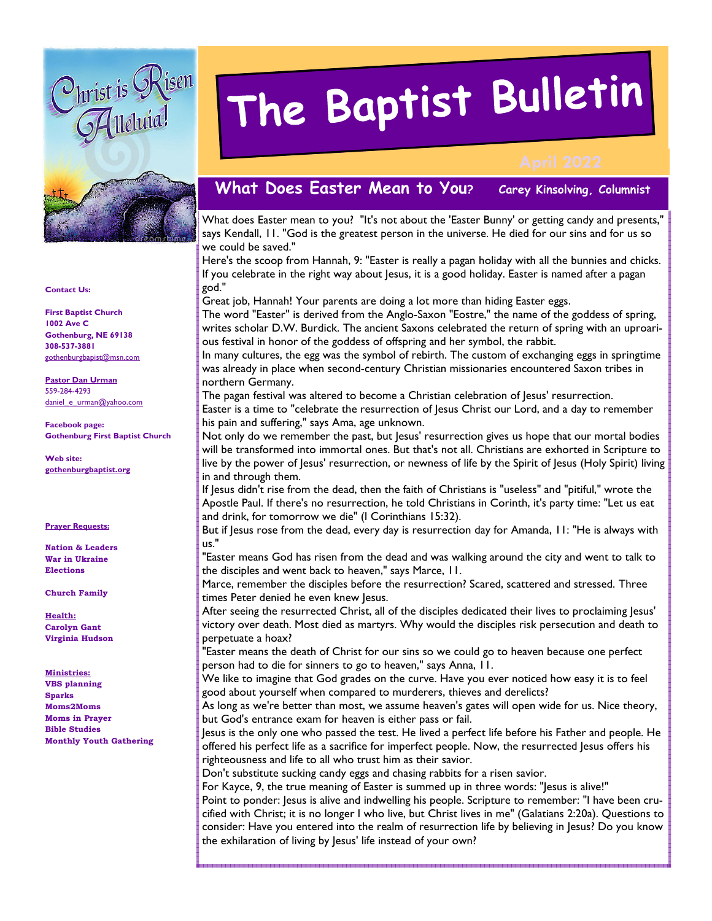

# The Baptist Bulletin

## **What Does Easter Mean to You? Carey Kinsolving, Columnist**

What does Easter mean to you? "It's not about the 'Easter Bunny' or getting candy and presents," says Kendall, 11. "God is the greatest person in the universe. He died for our sins and for us so we could be saved."

Here's the scoop from Hannah, 9: "Easter is really a pagan holiday with all the bunnies and chicks. If you celebrate in the right way about Jesus, it is a good holiday. Easter is named after a pagan god."

Great job, Hannah! Your parents are doing a lot more than hiding Easter eggs.

The word "Easter" is derived from the Anglo-Saxon "Eostre," the name of the goddess of spring, writes scholar D.W. Burdick. The ancient Saxons celebrated the return of spring with an uproarious festival in honor of the goddess of offspring and her symbol, the rabbit.

In many cultures, the egg was the symbol of rebirth. The custom of exchanging eggs in springtime was already in place when second-century Christian missionaries encountered Saxon tribes in northern Germany.

The pagan festival was altered to become a Christian celebration of Jesus' resurrection. Easter is a time to "celebrate the resurrection of Jesus Christ our Lord, and a day to remember his pain and suffering," says Ama, age unknown.

Not only do we remember the past, but Jesus' resurrection gives us hope that our mortal bodies will be transformed into immortal ones. But that's not all. Christians are exhorted in Scripture to live by the power of Jesus' resurrection, or newness of life by the Spirit of Jesus (Holy Spirit) living in and through them.

If Jesus didn't rise from the dead, then the faith of Christians is "useless" and "pitiful," wrote the Apostle Paul. If there's no resurrection, he told Christians in Corinth, it's party time: "Let us eat and drink, for tomorrow we die" (I Corinthians 15:32).

But if Jesus rose from the dead, every day is resurrection day for Amanda, 11: "He is always with us."

"Easter means God has risen from the dead and was walking around the city and went to talk to the disciples and went back to heaven," says Marce, 11.

Marce, remember the disciples before the resurrection? Scared, scattered and stressed. Three times Peter denied he even knew Jesus.

After seeing the resurrected Christ, all of the disciples dedicated their lives to proclaiming Jesus' victory over death. Most died as martyrs. Why would the disciples risk persecution and death to perpetuate a hoax?

"Easter means the death of Christ for our sins so we could go to heaven because one perfect person had to die for sinners to go to heaven," says Anna, 11.

We like to imagine that God grades on the curve. Have you ever noticed how easy it is to feel good about yourself when compared to murderers, thieves and derelicts?

As long as we're better than most, we assume heaven's gates will open wide for us. Nice theory, but God's entrance exam for heaven is either pass or fail.

Jesus is the only one who passed the test. He lived a perfect life before his Father and people. He offered his perfect life as a sacrifice for imperfect people. Now, the resurrected Jesus offers his righteousness and life to all who trust him as their savior.

Don't substitute sucking candy eggs and chasing rabbits for a risen savior.

For Kayce, 9, the true meaning of Easter is summed up in three words: "Jesus is alive!"

Point to ponder: Jesus is alive and indwelling his people. Scripture to remember: "I have been crucified with Christ; it is no longer I who live, but Christ lives in me" (Galatians 2:20a). Questions to consider: Have you entered into the realm of resurrection life by believing in Jesus? Do you know the exhilaration of living by Jesus' life instead of your own?

#### **Contact Us:**

**First Baptist Church 1002 Ave C Gothenburg, NE 69138 308-537-3881**  gothenburgbapist@msn.com

#### **Pastor Dan Urman** 559-284-4293 daniel\_e\_urman@yahoo.com

**Facebook page: Gothenburg First Baptist Church** 

**Web site: gothenburgbaptist.org** 

#### **Prayer Requests:**

**Nation & Leaders War in Ukraine Elections** 

**Church Family** 

**Health: Carolyn Gant Virginia Hudson** 

#### **Ministries:**

**VBS planning Sparks Moms2Moms Moms in Prayer Bible Studies Monthly Youth Gathering**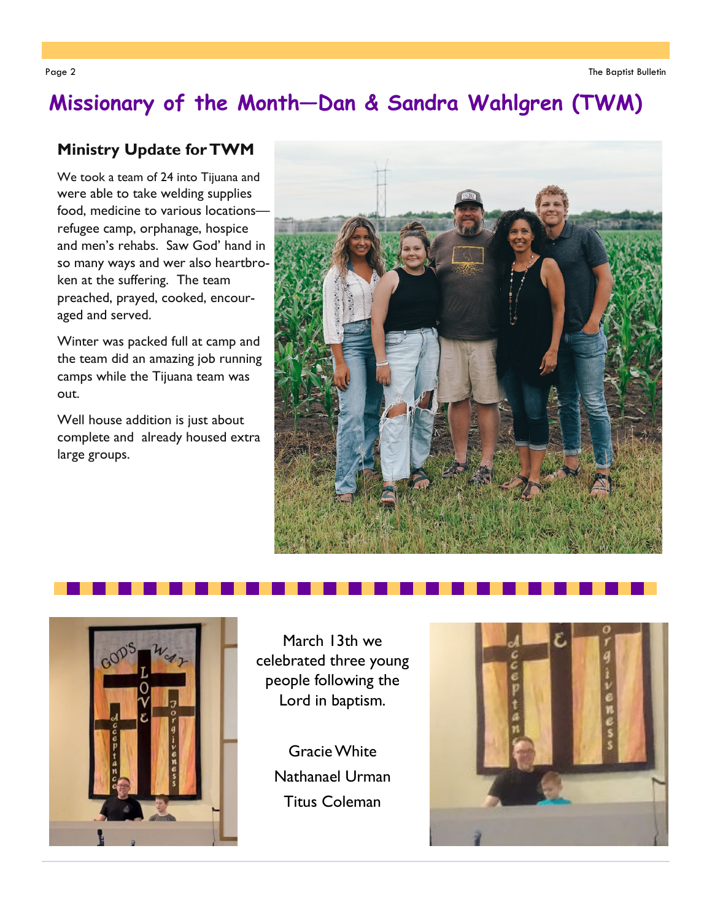## **Missionary of the Month—Dan & Sandra Wahlgren (TWM)**

## **Ministry Update for TWM**

We took a team of 24 into Tijuana and were able to take welding supplies food, medicine to various locations refugee camp, orphanage, hospice and men's rehabs. Saw God' hand in so many ways and wer also heartbroken at the suffering. The team preached, prayed, cooked, encouraged and served.

Winter was packed full at camp and the team did an amazing job running camps while the Tijuana team was out.

Well house addition is just about complete and already housed extra large groups.





March 13th we celebrated three young people following the Lord in baptism.

> Gracie White Nathanael Urman Titus Coleman

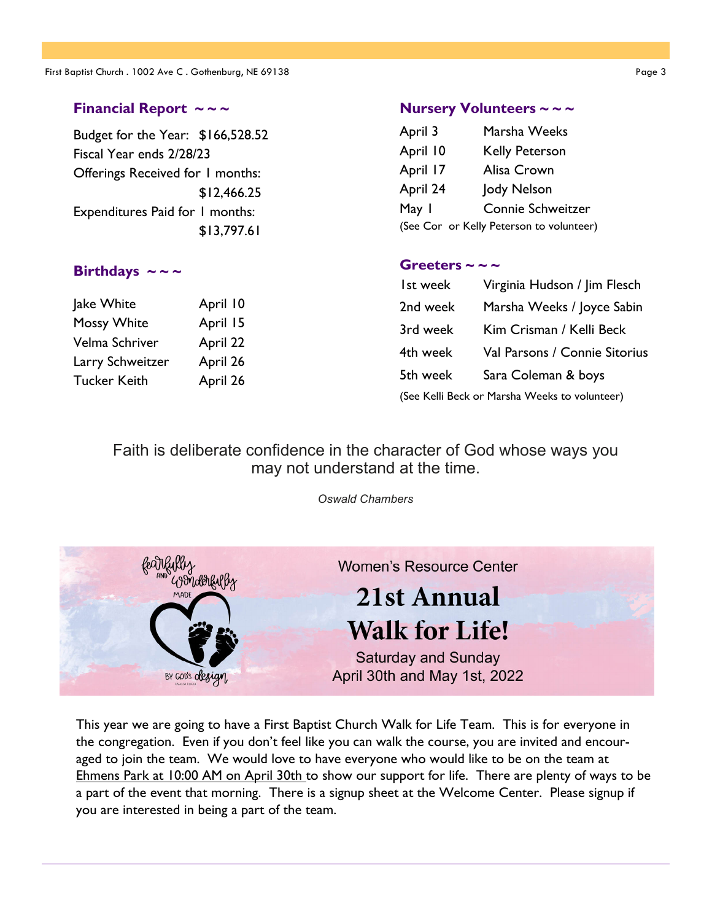### **Financial Report ~ ~ ~**

Budget for the Year: \$166,528.52 Fiscal Year ends 2/28/23 Offerings Received for 1 months: \$12,466.25 Expenditures Paid for 1 months: \$13,797.61

#### **Birthdays**  $\sim \sim$   $\sim$

| lake White         | April 10 |
|--------------------|----------|
| <b>Mossy White</b> | April 15 |
| Velma Schriver     | April 22 |
| Larry Schweitzer   | April 26 |
| Tucker Keith       | April 26 |
|                    |          |

#### **Nursery Volunteers ~ ~ ~**

| April 3  | Marsha Weeks                             |
|----------|------------------------------------------|
| April 10 | <b>Kelly Peterson</b>                    |
| April 17 | Alisa Crown                              |
| April 24 | Jody Nelson                              |
| May 1    | Connie Schweitzer                        |
|          | (See Cor or Kelly Peterson to volunteer) |

#### Greeters  $\sim$   $\sim$   $\sim$

| Ist week                                      | Virginia Hudson / Jim Flesch  |  |
|-----------------------------------------------|-------------------------------|--|
| 2nd week                                      | Marsha Weeks / Joyce Sabin    |  |
| 3rd week                                      | Kim Crisman / Kelli Beck      |  |
| 4th week                                      | Val Parsons / Connie Sitorius |  |
| 5th week                                      | Sara Coleman & boys           |  |
| (See Kelli Beck or Marsha Weeks to volunteer) |                               |  |

## Faith is deliberate confidence in the character of God whose ways you may not understand at the time.

*Oswald Chambers*



This year we are going to have a First Baptist Church Walk for Life Team. This is for everyone in the congregation. Even if you don't feel like you can walk the course, you are invited and encouraged to join the team. We would love to have everyone who would like to be on the team at Ehmens Park at 10:00 AM on April 30th to show our support for life. There are plenty of ways to be a part of the event that morning. There is a signup sheet at the Welcome Center. Please signup if you are interested in being a part of the team.